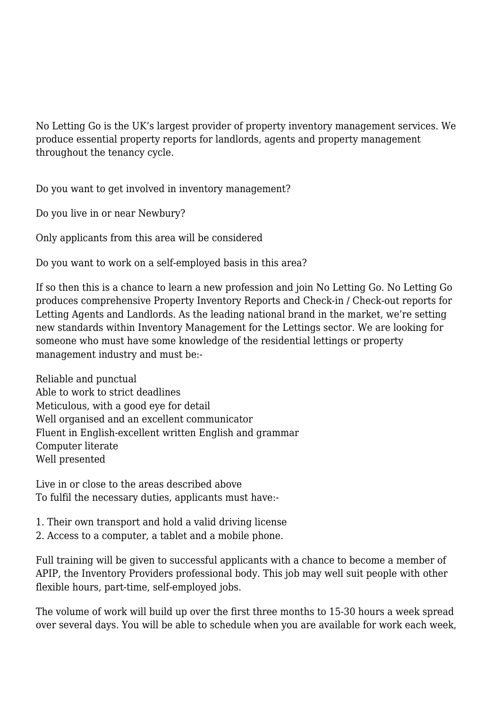No Letting Go is the UK's largest provider of property inventory management services. We produce essential property reports for landlords, agents and property management throughout the tenancy cycle.

Do you want to get involved in inventory management?

Do you live in or near Newbury?

Only applicants from this area will be considered

Do you want to work on a self-employed basis in this area?

If so then this is a chance to learn a new profession and join No Letting Go. No Letting Go produces comprehensive Property Inventory Reports and Check-in / Check-out reports for Letting Agents and Landlords. As the leading national brand in the market, we're setting new standards within Inventory Management for the Lettings sector. We are looking for someone who must have some knowledge of the residential lettings or property management industry and must be:-

Reliable and punctual Able to work to strict deadlines Meticulous, with a good eye for detail Well organised and an excellent communicator Fluent in English-excellent written English and grammar Computer literate Well presented

Live in or close to the areas described above To fulfil the necessary duties, applicants must have:-

1. Their own transport and hold a valid driving license

2. Access to a computer, a tablet and a mobile phone.

Full training will be given to successful applicants with a chance to become a member of APIP, the Inventory Providers professional body. This job may well suit people with other flexible hours, part-time, self-employed jobs.

The volume of work will build up over the first three months to 15-30 hours a week spread over several days. You will be able to schedule when you are available for work each week,